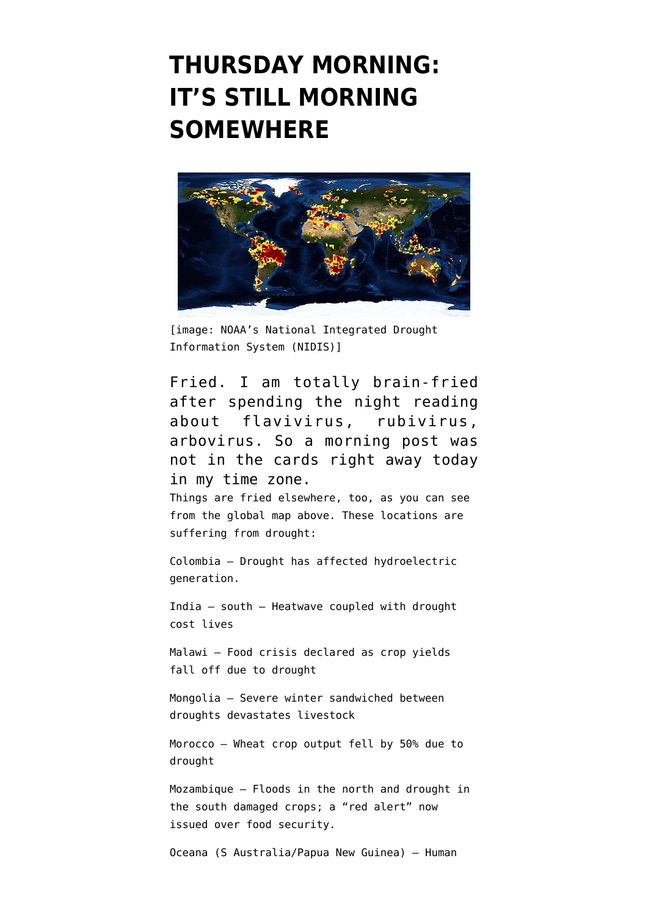## **[THURSDAY MORNING:](https://www.emptywheel.net/2016/04/14/thursday-morning-its-still-morning-somewhere/) [IT'S STILL MORNING](https://www.emptywheel.net/2016/04/14/thursday-morning-its-still-morning-somewhere/) [SOMEWHERE](https://www.emptywheel.net/2016/04/14/thursday-morning-its-still-morning-somewhere/)**



[image: [NOAA's National Integrated Drought](https://www.drought.gov/gdm/current-conditions) [Information System \(NIDIS\)\]](https://www.drought.gov/gdm/current-conditions)

Fried. I am totally brain-fried after spending the night reading about flavivirus, rubivirus, arbovirus. So a morning post was not in the cards right away today in my time zone.

Things are fried elsewhere, too, as you can see from the global map above. These locations are suffering from drought:

Colombia – [Drought has affected hydroelectric](https://thebogotapost.com/2016/04/12/weathering-the-drought/) [generation.](https://thebogotapost.com/2016/04/12/weathering-the-drought/)

India – south – [Heatwave coupled with drought](http://www.ndtv.com/cheat-sheet/nearly-30-dead-in-odisha-as-india-faces-hottest-april-in-5-years-1395352) [cost lives](http://www.ndtv.com/cheat-sheet/nearly-30-dead-in-odisha-as-india-faces-hottest-april-in-5-years-1395352)

Malawi – [Food crisis declared as crop yields](http://www.ibtimes.com/malawi-declares-state-disaster-over-food-crisis-drought-linked-el-nino-2353800) [fall off due to drought](http://www.ibtimes.com/malawi-declares-state-disaster-over-food-crisis-drought-linked-el-nino-2353800)

Mongolia – [Severe winter sandwiched between](http://www.ifrc.org/en/news-and-media/news-stories/asia-pacific/mongolia/mongolias-herders-face-a-bleak-future-in-the-face-of-livestock-losses-72107/) [droughts devastates livestock](http://www.ifrc.org/en/news-and-media/news-stories/asia-pacific/mongolia/mongolias-herders-face-a-bleak-future-in-the-face-of-livestock-losses-72107/)

Morocco – [Wheat crop output fell by 50% due to](http://www.agrimoney.com/news/drought-to-slash-moroccan-wheat-production-by-half--9473.html) [drought](http://www.agrimoney.com/news/drought-to-slash-moroccan-wheat-production-by-half--9473.html)

Mozambique — [Floods in the north and drought in](http://www.coastweek.com/3915-Mozambique-government-declares-red-alert-over-food-insecurity.htm) [the south damaged crops; a "red alert" now](http://www.coastweek.com/3915-Mozambique-government-declares-red-alert-over-food-insecurity.htm) [issued over food security.](http://www.coastweek.com/3915-Mozambique-government-declares-red-alert-over-food-insecurity.htm)

Oceana (S Australia/Papua New Guinea) – [Human](http://www.telegraph.co.uk/news/2016/04/13/papua-new-guinea-food-shortage-leads-parents-to-sell-children-fo/)